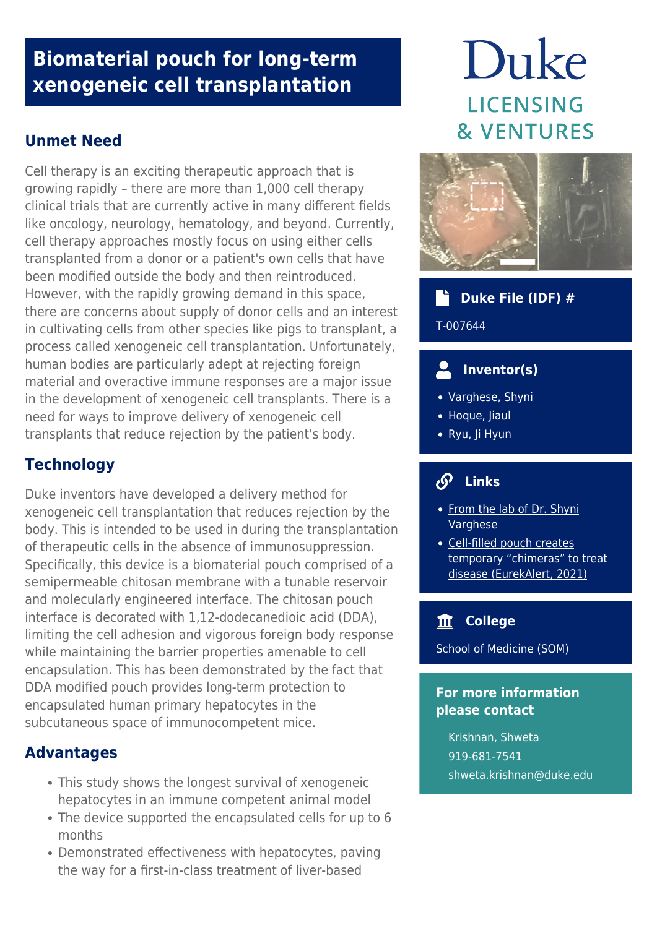# **Biomaterial pouch for long-term xenogeneic cell transplantation**

## **Unmet Need**

Cell therapy is an exciting therapeutic approach that is growing rapidly – there are more than 1,000 cell therapy clinical trials that are currently active in many different fields like oncology, neurology, hematology, and beyond. Currently, cell therapy approaches mostly focus on using either cells transplanted from a donor or a patient's own cells that have been modified outside the body and then reintroduced. However, with the rapidly growing demand in this space, there are concerns about supply of donor cells and an interest in cultivating cells from other species like pigs to transplant, a process called xenogeneic cell transplantation. Unfortunately, human bodies are particularly adept at rejecting foreign material and overactive immune responses are a major issue in the development of xenogeneic cell transplants. There is a need for ways to improve delivery of xenogeneic cell transplants that reduce rejection by the patient's body.

## **Technology**

Duke inventors have developed a delivery method for xenogeneic cell transplantation that reduces rejection by the body. This is intended to be used in during the transplantation of therapeutic cells in the absence of immunosuppression. Specifically, this device is a biomaterial pouch comprised of a semipermeable chitosan membrane with a tunable reservoir and molecularly engineered interface. The chitosan pouch interface is decorated with 1,12-dodecanedioic acid (DDA), limiting the cell adhesion and vigorous foreign body response while maintaining the barrier properties amenable to cell encapsulation. This has been demonstrated by the fact that DDA modified pouch provides long-term protection to encapsulated human primary hepatocytes in the subcutaneous space of immunocompetent mice.

#### **Advantages**

- This study shows the longest survival of xenogeneic hepatocytes in an immune competent animal model
- The device supported the encapsulated cells for up to 6 months
- Demonstrated effectiveness with hepatocytes, paving the way for a first-in-class treatment of liver-based

# Duke **LICENSING & VENTURES**



## **Duke File (IDF) #** T-007644

## **Inventor(s)**

- Varghese, Shyni
- Hoque, Jiaul
- Ryu, Ji Hyun

### **Links**

- [From the lab of Dr. Shyni](https://varghese.pratt.duke.edu/publications/molecularly-tailored-interface-long-term-xenogeneic-cell-transplantation) **[Varghese](https://varghese.pratt.duke.edu/publications/molecularly-tailored-interface-long-term-xenogeneic-cell-transplantation)**
- [Cell-filled pouch creates](https://www.eurekalert.org/news-releases/931240) [temporary "chimeras" to treat](https://www.eurekalert.org/news-releases/931240) [disease \(EurekAlert, 2021\)](https://www.eurekalert.org/news-releases/931240)

#### **College**

School of Medicine (SOM)

#### **For more information please contact**

Krishnan, Shweta 919-681-7541 [shweta.krishnan@duke.edu](mailto:shweta.krishnan@duke.edu)